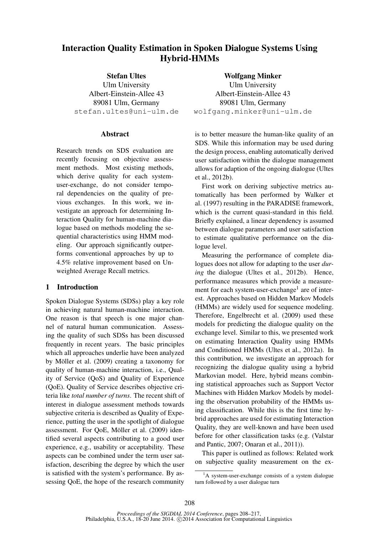# Interaction Quality Estimation in Spoken Dialogue Systems Using Hybrid-HMMs

Stefan Ultes Ulm University Albert-Einstein-Allee 43 89081 Ulm, Germany stefan.ultes@uni-ulm.de

## **Abstract**

Research trends on SDS evaluation are recently focusing on objective assessment methods. Most existing methods, which derive quality for each systemuser-exchange, do not consider temporal dependencies on the quality of previous exchanges. In this work, we investigate an approach for determining Interaction Quality for human-machine dialogue based on methods modeling the sequential characteristics using HMM modeling. Our approach significantly outperforms conventional approaches by up to 4.5% relative improvement based on Unweighted Average Recall metrics.

# 1 Introduction

Spoken Dialogue Systems (SDSs) play a key role in achieving natural human-machine interaction. One reason is that speech is one major channel of natural human communication. Assessing the quality of such SDSs has been discussed frequently in recent years. The basic principles which all approaches underlie have been analyzed by Möller et al.  $(2009)$  creating a taxonomy for quality of human-machine interaction, i.e., Quality of Service (QoS) and Quality of Experience (QoE). Quality of Service describes objective criteria like *total number of turns*. The recent shift of interest in dialogue assessment methods towards subjective criteria is described as Quality of Experience, putting the user in the spotlight of dialogue assessment. For QoE, Möller et al. (2009) identified several aspects contributing to a good user experience, e.g., usability or acceptability. These aspects can be combined under the term user satisfaction, describing the degree by which the user is satisfied with the system's performance. By assessing QoE, the hope of the research community

Wolfgang Minker Ulm University Albert-Einstein-Allee 43 89081 Ulm, Germany wolfgang.minker@uni-ulm.de

is to better measure the human-like quality of an SDS. While this information may be used during the design process, enabling automatically derived user satisfaction within the dialogue management allows for adaption of the ongoing dialogue (Ultes et al., 2012b).

First work on deriving subjective metrics automatically has been performed by Walker et al. (1997) resulting in the PARADISE framework, which is the current quasi-standard in this field. Briefly explained, a linear dependency is assumed between dialogue parameters and user satisfaction to estimate qualitative performance on the dialogue level.

Measuring the performance of complete dialogues does not allow for adapting to the user *during* the dialogue (Ultes et al., 2012b). Hence, performance measures which provide a measurement for each system-user-exchange<sup>1</sup> are of interest. Approaches based on Hidden Markov Models (HMMs) are widely used for sequence modeling. Therefore, Engelbrecht et al. (2009) used these models for predicting the dialogue quality on the exchange level. Similar to this, we presented work on estimating Interaction Quality using HMMs and Conditioned HMMs (Ultes et al., 2012a). In this contribution, we investigate an approach for recognizing the dialogue quality using a hybrid Markovian model. Here, hybrid means combining statistical approaches such as Support Vector Machines with Hidden Markov Models by modeling the observation probability of the HMMs using classification. While this is the first time hybrid approaches are used for estimating Interaction Quality, they are well-known and have been used before for other classification tasks (e.g. (Valstar and Pantic, 2007; Onaran et al., 2011)).

This paper is outlined as follows: Related work on subjective quality measurement on the ex-

 ${}^{1}$ A system-user-exchange consists of a system dialogue turn followed by a user dialogue turn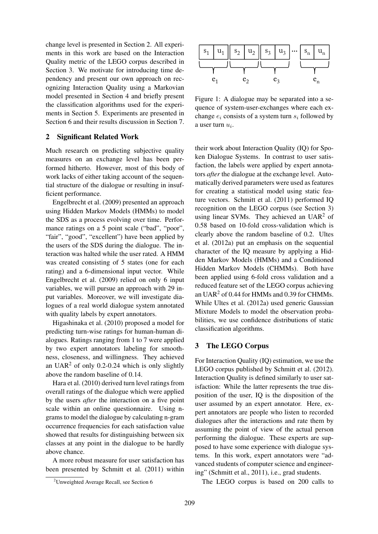change level is presented in Section 2. All experiments in this work are based on the Interaction Quality metric of the LEGO corpus described in Section 3. We motivate for introducing time dependency and present our own approach on recognizing Interaction Quality using a Markovian model presented in Section 4 and briefly present the classification algorithms used for the experiments in Section 5. Experiments are presented in Section 6 and their results discussion in Section 7.

## 2 Significant Related Work

Much research on predicting subjective quality measures on an exchange level has been performed hitherto. However, most of this body of work lacks of either taking account of the sequential structure of the dialogue or resulting in insufficient performance.

Engelbrecht et al. (2009) presented an approach using Hidden Markov Models (HMMs) to model the SDS as a process evolving over time. Performance ratings on a 5 point scale ("bad", "poor", "fair", "good", "excellent") have been applied by the users of the SDS during the dialogue. The interaction was halted while the user rated. A HMM was created consisting of 5 states (one for each rating) and a 6-dimensional input vector. While Engelbrecht et al. (2009) relied on only 6 input variables, we will pursue an approach with 29 input variables. Moreover, we will investigate dialogues of a real world dialogue system annotated with quality labels by expert annotators.

Higashinaka et al. (2010) proposed a model for predicting turn-wise ratings for human-human dialogues. Ratings ranging from 1 to 7 were applied by two expert annotators labeling for smoothness, closeness, and willingness. They achieved an UAR<sup>2</sup> of only 0.2-0.24 which is only slightly above the random baseline of 0.14.

Hara et al. (2010) derived turn level ratings from overall ratings of the dialogue which were applied by the users *after* the interaction on a five point scale within an online questionnaire. Using ngrams to model the dialogue by calculating n-gram occurrence frequencies for each satisfaction value showed that results for distinguishing between six classes at any point in the dialogue to be hardly above chance.

A more robust measure for user satisfaction has been presented by Schmitt et al. (2011) within





Figure 1: A dialogue may be separated into a sequence of system-user-exchanges where each exchange  $e_i$  consists of a system turn  $s_i$  followed by a user turn  $u_i$ .

their work about Interaction Quality (IQ) for Spoken Dialogue Systems. In contrast to user satisfaction, the labels were applied by expert annotators *after* the dialogue at the exchange level. Automatically derived parameters were used as features for creating a statistical model using static feature vectors. Schmitt et al. (2011) performed IQ recognition on the LEGO corpus (see Section 3) using linear SVMs. They achieved an  $UAR<sup>2</sup>$  of 0.58 based on 10-fold cross-validation which is clearly above the random baseline of 0.2. Ultes et al. (2012a) put an emphasis on the sequential character of the IQ measure by applying a Hidden Markov Models (HMMs) and a Conditioned Hidden Markov Models (CHMMs). Both have been applied using 6-fold cross validation and a reduced feature set of the LEGO corpus achieving an UAR<sup>2</sup> of 0.44 for HMMs and 0.39 for CHMMs. While Ultes et al. (2012a) used generic Gaussian Mixture Models to model the observation probabilities, we use confidence distributions of static classification algorithms.

## 3 The LEGO Corpus

For Interaction Quality (IQ) estimation, we use the LEGO corpus published by Schmitt et al. (2012). Interaction Quality is defined similarly to user satisfaction: While the latter represents the true disposition of the user, IQ is the disposition of the user assumed by an expert annotator. Here, expert annotators are people who listen to recorded dialogues after the interactions and rate them by assuming the point of view of the actual person performing the dialogue. These experts are supposed to have some experience with dialogue systems. In this work, expert annotators were "advanced students of computer science and engineering" (Schmitt et al., 2011), i.e., grad students.

The LEGO corpus is based on 200 calls to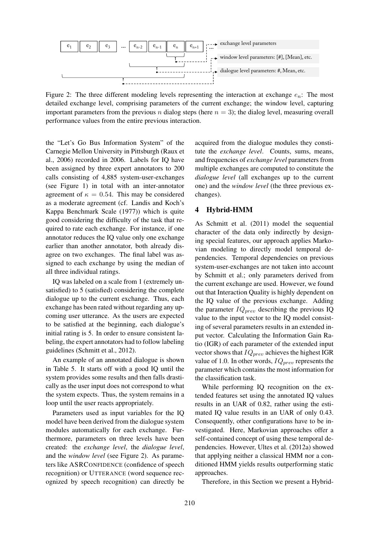

Figure 2: The three different modeling levels representing the interaction at exchange  $e_n$ . The most detailed exchange level, comprising parameters of the current exchange; the window level, capturing important parameters from the previous n dialog steps (here  $n = 3$ ); the dialog level, measuring overall performance values from the entire previous interaction.

the "Let's Go Bus Information System" of the Carnegie Mellon University in Pittsburgh (Raux et al., 2006) recorded in 2006. Labels for IQ have been assigned by three expert annotators to 200 calls consisting of 4,885 system-user-exchanges (see Figure 1) in total with an inter-annotator agreement of  $\kappa = 0.54$ . This may be considered as a moderate agreement (cf. Landis and Koch's Kappa Benchmark Scale (1977)) which is quite good considering the difficulty of the task that required to rate each exchange. For instance, if one annotator reduces the IQ value only one exchange earlier than another annotator, both already disagree on two exchanges. The final label was assigned to each exchange by using the median of all three individual ratings.

IQ was labeled on a scale from 1 (extremely unsatisfied) to 5 (satisfied) considering the complete dialogue up to the current exchange. Thus, each exchange has been rated without regarding any upcoming user utterance. As the users are expected to be satisfied at the beginning, each dialogue's initial rating is 5. In order to ensure consistent labeling, the expert annotators had to follow labeling guidelines (Schmitt et al., 2012).

An example of an annotated dialogue is shown in Table 5. It starts off with a good IQ until the system provides some results and then falls drastically as the user input does not correspond to what the system expects. Thus, the system remains in a loop until the user reacts appropriately.

Parameters used as input variables for the IQ model have been derived from the dialogue system modules automatically for each exchange. Furthermore, parameters on three levels have been created: the *exchange level*, the *dialogue level*, and the *window level* (see Figure 2). As parameters like ASRCONFIDENCE (confidence of speech recognition) or UTTERANCE (word sequence recognized by speech recognition) can directly be

acquired from the dialogue modules they constitute the *exchange level*. Counts, sums, means, and frequencies of *exchange level* parameters from multiple exchanges are computed to constitute the *dialogue level* (all exchanges up to the current one) and the *window level* (the three previous exchanges).

# 4 Hybrid-HMM

As Schmitt et al. (2011) model the sequential character of the data only indirectly by designing special features, our approach applies Markovian modeling to directly model temporal dependencies. Temporal dependencies on previous system-user-exchanges are not taken into account by Schmitt et al.; only parameters derived from the current exchange are used. However, we found out that Interaction Quality is highly dependent on the IQ value of the previous exchange. Adding the parameter  $IQ_{prev}$  describing the previous IQ value to the input vector to the IQ model consisting of several parameters results in an extended input vector. Calculating the Information Gain Ratio (IGR) of each parameter of the extended input vector shows that  $IQ_{prev}$  achieves the highest IGR value of 1.0. In other words,  $IQ_{prev}$  represents the parameter which contains the most information for the classification task.

While performing IQ recognition on the extended features set using the annotated IQ values results in an UAR of 0.82, rather using the estimated IQ value results in an UAR of only 0.43. Consequently, other configurations have to be investigated. Here, Markovian approaches offer a self-contained concept of using these temporal dependencies. However, Ultes et al. (2012a) showed that applying neither a classical HMM nor a conditioned HMM yields results outperforming static approaches.

Therefore, in this Section we present a Hybrid-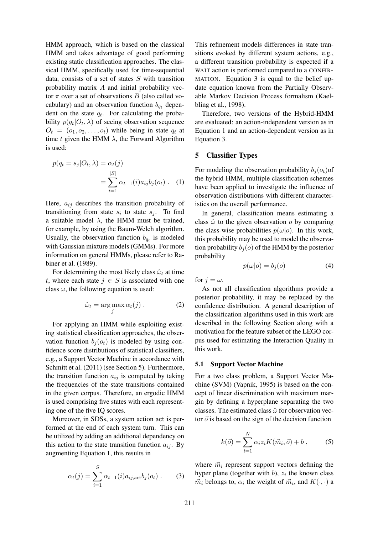HMM approach, which is based on the classical HMM and takes advantage of good performing existing static classification approaches. The classical HMM, specifically used for time-sequential data, consists of a set of states  $S$  with transition probability matrix  $A$  and initial probability vector  $\pi$  over a set of observations B (also called vocabulary) and an observation function  $b_{q_t}$  dependent on the state  $q_t$ . For calculating the probability  $p(q_t|O_t, \lambda)$  of seeing observation sequence  $O_t = (o_1, o_2, \ldots, o_t)$  while being in state  $q_t$  at time t given the HMM  $\lambda$ , the Forward Algorithm is used:

$$
p(q_t = s_j | O_t, \lambda) = \alpha_t(j)
$$
  
= 
$$
\sum_{i=1}^{|S|} \alpha_{t-1}(i) a_{ij} b_j(o_t) .
$$
 (1)

Here,  $a_{ij}$  describes the transition probability of transitioning from state  $s_i$  to state  $s_j$ . To find a suitable model  $\lambda$ , the HMM must be trained, for example, by using the Baum-Welch algorithm. Usually, the observation function  $b_{q_t}$  is modeled with Gaussian mixture models (GMMs). For more information on general HMMs, please refer to Rabiner et al. (1989).

For determining the most likely class  $\hat{\omega}_t$  at time t, where each state  $j \in S$  is associated with one class  $\omega$ , the following equation is used:

$$
\hat{\omega}_t = \arg \max_j \alpha_t(j) . \tag{2}
$$

For applying an HMM while exploiting existing statistical classification approaches, the observation function  $b_i(o_t)$  is modeled by using confidence score distributions of statistical classifiers, e.g., a Support Vector Machine in accordance with Schmitt et al. (2011) (see Section 5). Furthermore, the transition function  $a_{ij}$  is computed by taking the frequencies of the state transitions contained in the given corpus. Therefore, an ergodic HMM is used comprising five states with each representing one of the five IQ scores.

Moreover, in SDSs, a system action act is performed at the end of each system turn. This can be utilized by adding an additional dependency on this action to the state transition function  $a_{ij}$ . By augmenting Equation 1, this results in

$$
\alpha_t(j) = \sum_{i=1}^{|S|} \alpha_{t-1}(i) a_{ij, \text{act}} b_j(o_t) . \tag{3}
$$

This refinement models differences in state transitions evoked by different system actions, e.g., a different transition probability is expected if a WAIT action is performed compared to a CONFIR-MATION. Equation 3 is equal to the belief update equation known from the Partially Observable Markov Decision Process formalism (Kaelbling et al., 1998).

Therefore, two versions of the Hybrid-HMM are evaluated: an action-independent version as in Equation 1 and an action-dependent version as in Equation 3.

### 5 Classifier Types

For modeling the observation probability  $b_i(o_t)$  of the hybrid HMM, multiple classification schemes have been applied to investigate the influence of observation distributions with different characteristics on the overall performance.

In general, classification means estimating a class  $\hat{\omega}$  to the given observation  $\sigma$  by comparing the class-wise probabilities  $p(\omega|o)$ . In this work, this probability may be used to model the observation probability  $b_i(o)$  of the HMM by the posterior probability

$$
p(\omega|o) = b_j(o) \tag{4}
$$

for  $j = \omega$ .

As not all classification algorithms provide a posterior probability, it may be replaced by the confidence distribution. A general description of the classification algorithms used in this work are described in the following Section along with a motivation for the feature subset of the LEGO corpus used for estimating the Interaction Quality in this work.

#### 5.1 Support Vector Machine

For a two class problem, a Support Vector Machine (SVM) (Vapnik, 1995) is based on the concept of linear discrimination with maximum margin by defining a hyperplane separating the two classes. The estimated class  $\hat{\omega}$  for observation vector  $\vec{o}$  is based on the sign of the decision function

$$
k(\vec{o}) = \sum_{i=1}^{N} \alpha_i z_i K(\vec{m}_i, \vec{o}) + b , \qquad (5)
$$

where  $\vec{m}_i$  represent support vectors defining the hyper plane (together with  $b$ ),  $z_i$  the known class  $\vec{m}_i$  belongs to,  $\alpha_i$  the weight of  $\vec{m}_i$ , and  $K(\cdot, \cdot)$  a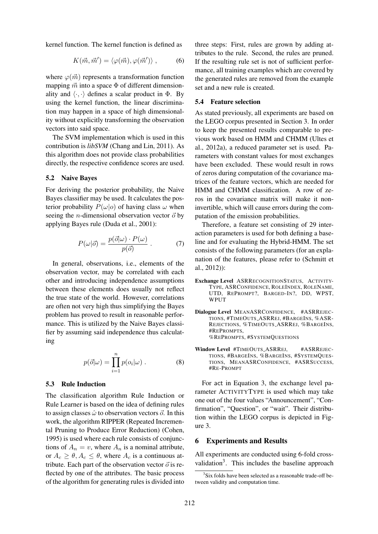kernel function. The kernel function is defined as

$$
K(\vec{m}, \vec{m}') = \langle \varphi(\vec{m}), \varphi(\vec{m}') \rangle , \qquad (6)
$$

where  $\varphi(\vec{m})$  represents a transformation function mapping  $\vec{m}$  into a space  $\Phi$  of different dimensionality and  $\langle \cdot, \cdot \rangle$  defines a scalar product in  $\Phi$ . By using the kernel function, the linear discrimination may happen in a space of high dimensionality without explicitly transforming the observation vectors into said space.

The SVM implementation which is used in this contribution is *libSVM* (Chang and Lin, 2011). As this algorithm does not provide class probabilities directly, the respective confidence scores are used.

## 5.2 Naive Bayes

For deriving the posterior probability, the Naive Bayes classifier may be used. It calculates the posterior probability  $P(\omega|o)$  of having class  $\omega$  when seeing the *n*-dimensional observation vector  $\vec{o}$  by applying Bayes rule (Duda et al., 2001):

$$
P(\omega|\vec{o}) = \frac{p(\vec{o}|\omega) \cdot P(\omega)}{p(\vec{o})} \ . \tag{7}
$$

In general, observations, i.e., elements of the observation vector, may be correlated with each other and introducing independence assumptions between these elements does usually not reflect the true state of the world. However, correlations are often not very high thus simplifying the Bayes problem has proved to result in reasonable performance. This is utilized by the Naive Bayes classifier by assuming said independence thus calculating

$$
p(\vec{o}|\omega) = \prod_{i=1}^{n} p(o_i|\omega) . \qquad (8)
$$

#### 5.3 Rule Induction

The classification algorithm Rule Induction or Rule Learner is based on the idea of defining rules to assign classes  $\hat{\omega}$  to observation vectors  $\vec{o}$ . In this work, the algorithm RIPPER (Repeated Incremental Pruning to Produce Error Reduction) (Cohen, 1995) is used where each rule consists of conjunctions of  $A_n = v$ , where  $A_n$  is a nominal attribute, or  $A_c \ge \theta$ ,  $A_c \le \theta$ , where  $A_c$  is a continuous attribute. Each part of the observation vector  $\vec{o}$  is reflected by one of the attributes. The basic process of the algorithm for generating rules is divided into

three steps: First, rules are grown by adding attributes to the rule. Second, the rules are pruned. If the resulting rule set is not of sufficient performance, all training examples which are covered by the generated rules are removed from the example set and a new rule is created.

## 5.4 Feature selection

As stated previously, all experiments are based on the LEGO corpus presented in Section 3. In order to keep the presented results comparable to previous work based on HMM and CHMM (Ultes et al., 2012a), a reduced parameter set is used. Parameters with constant values for most exchanges have been excluded. These would result in rows of zeros during computation of the covariance matrices of the feature vectors, which are needed for HMM and CHMM classification. A row of zeros in the covariance matrix will make it noninvertible, which will cause errors during the computation of the emission probabilities.

Therefore, a feature set consisting of 29 interaction parameters is used for both defining a baseline and for evaluating the Hybrid-HMM. The set consists of the following parameters (for an explanation of the features, please refer to (Schmitt et al., 2012)):

- Exchange Level ASRRECOGNITIONSTATUS, ACTIVITY-TYPE, ASRCONFIDENCE, ROLEINDEX, ROLENAME, UTD, REPROMPT?, BARGED-IN?, DD, WPST, WPHT
- Dialogue Level MEANASRCONFIDENCE, #ASRREJEC-TIONS, #TIMEOUTS ASRREJ, #BARGEINS, %ASR-REJECTIONS, %TIMEOUTS ASRREJ, %BARGEINS, #REPROMPTS, %REPROMPTS, #SYSTEMQUESTIONS
- Window Level #TIMEOUTS\_ASRREJ, #ASRREJEC-TIONS, #BARGEINS, %BARGEINS, #SYSTEMQUES-TIONS, MEANASRCONFIDENCE, #ASRSUCCESS, #RE-PROMPT

For act in Equation 3, the exchange level parameter ACTIVITYTYPE is used which may take one out of the four values "Announcement", "Confirmation", "Question", or "wait". Their distribution within the LEGO corpus is depicted in Figure 3.

## 6 Experiments and Results

All experiments are conducted using 6-fold crossvalidation<sup>3</sup>. This includes the baseline approach

<sup>&</sup>lt;sup>3</sup>Six folds have been selected as a reasonable trade-off between validity and computation time.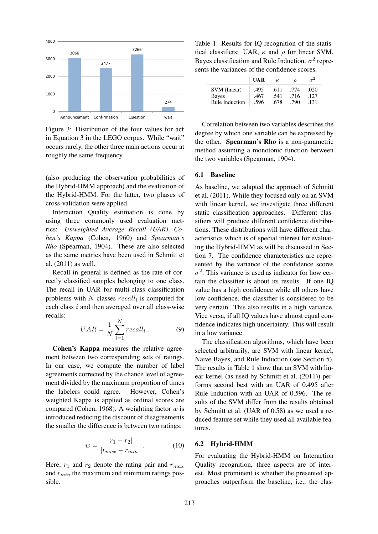

Figure 3: Distribution of the four values for act in Equation 3 in the LEGO corpus. While "wait" occurs rarely, the other three main actions occur at roughly the same frequency.

(also producing the observation probabilities of the Hybrid-HMM approach) and the evaluation of the Hybrid-HMM. For the latter, two phases of cross-validation were applied.

Interaction Quality estimation is done by using three commonly used evaluation metrics: *Unweighted Average Recall (UAR)*, *Cohen's Kappa* (Cohen, 1960) and *Spearman's Rho* (Spearman, 1904). These are also selected as the same metrics have been used in Schmitt et al. (2011) as well.

Recall in general is defined as the rate of correctly classified samples belonging to one class. The recall in UAR for multi-class classification problems with N classes  $recall_i$  is computed for each class  $i$  and then averaged over all class-wise recalls:

$$
UAR = \frac{1}{N} \sum_{i=1}^{N} recall_i . \tag{9}
$$

Cohen's Kappa measures the relative agreement between two corresponding sets of ratings. In our case, we compute the number of label agreements corrected by the chance level of agreement divided by the maximum proportion of times the labelers could agree. However, Cohen's weighted Kappa is applied as ordinal scores are compared (Cohen, 1968). A weighting factor  $w$  is introduced reducing the discount of disagreements the smaller the difference is between two ratings:

$$
w = \frac{|r_1 - r_2|}{|r_{max} - r_{min}|} \,. \tag{10}
$$

Here,  $r_1$  and  $r_2$  denote the rating pair and  $r_{max}$ and  $r_{min}$  the maximum and minimum ratings possible.

Table 1: Results for IQ recognition of the statistical classifiers: UAR,  $\kappa$  and  $\rho$  for linear SVM, Bayes classification and Rule Induction.  $\sigma^2$  represents the variances of the confidence scores.

|                | <b>UAR</b> | $\kappa$ | D    |      |
|----------------|------------|----------|------|------|
| SVM (linear)   | .495       | .611     | .774 | .020 |
| Bayes          | .467       | .541     | .716 | .127 |
| Rule Induction | .596       | .678     | .790 | .131 |

Correlation between two variables describes the degree by which one variable can be expressed by the other. Spearman's Rho is a non-parametric method assuming a monotonic function between the two variables (Spearman, 1904).

#### 6.1 Baseline

As baseline, we adapted the approach of Schmitt et al. (2011). While they focused only on an SVM with linear kernel, we investigate three different static classification approaches. Different classifiers will produce different confidence distributions. These distributions will have different characteristics which is of special interest for evaluating the Hybrid-HMM as will be discussed in Section 7. The confidence characteristics are represented by the variance of the confidence scores  $\sigma^2$ . This variance is used as indicator for how certain the classifier is about its results. If one IQ value has a high confidence while all others have low confidence, the classifier is considered to be very certain. This also results in a high variance. Vice versa, if all IQ values have almost equal confidence indicates high uncertainty. This will result in a low variance.

The classification algorithms, which have been selected arbitrarily, are SVM with linear kernel, Naive Bayes, and Rule Induction (see Section 5). The results in Table 1 show that an SVM with linear kernel (as used by Schmitt et al. (2011)) performs second best with an UAR of 0.495 after Rule Induction with an UAR of 0.596. The results of the SVM differ from the results obtained by Schmitt et al. (UAR of 0.58) as we used a reduced feature set while they used all available features.

#### 6.2 Hybrid-HMM

For evaluating the Hybrid-HMM on Interaction Quality recognition, three aspects are of interest. Most prominent is whether the presented approaches outperform the baseline, i.e., the clas-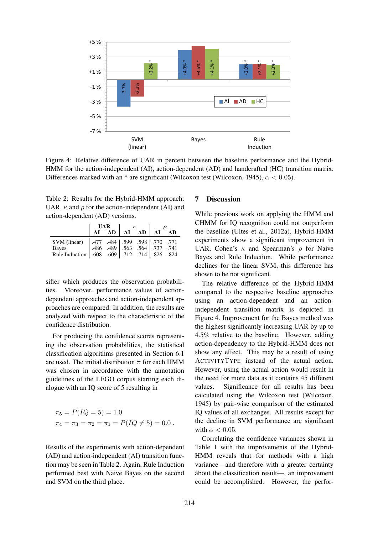

Figure 4: Relative difference of UAR in percent between the baseline performance and the Hybrid-HMM for the action-independent (AI), action-dependent (AD) and handcrafted (HC) transition matrix. Differences marked with an \* are significant (Wilcoxon test (Wilcoxon, 1945),  $\alpha$  < 0.05).

Table 2: Results for the Hybrid-HMM approach: UAR,  $\kappa$  and  $\rho$  for the action-independent (AI) and action-dependent (AD) versions.

|                                                                                               | <b>UAR</b> |    |  |                |  |    |
|-----------------------------------------------------------------------------------------------|------------|----|--|----------------|--|----|
|                                                                                               | AI         | AD |  | $AI$ $AD$ $AI$ |  | AD |
| SVM (linear)   .477 .484   .599 .598   .770 .771<br>Bayes   .486 .489   .563 .564   .737 .741 |            |    |  |                |  |    |
|                                                                                               |            |    |  |                |  |    |
| Rule Induction   .608 .609   .712 .714   .826 .824                                            |            |    |  |                |  |    |

sifier which produces the observation probabilities. Moreover, performance values of actiondependent approaches and action-independent approaches are compared. In addition, the results are analyzed with respect to the characteristic of the confidence distribution.

For producing the confidence scores representing the observation probabilities, the statistical classification algorithms presented in Section 6.1 are used. The initial distribution  $\pi$  for each HMM was chosen in accordance with the annotation guidelines of the LEGO corpus starting each dialogue with an IQ score of 5 resulting in

$$
\pi_5 = P(IQ = 5) = 1.0
$$
  
\n
$$
\pi_4 = \pi_3 = \pi_2 = \pi_1 = P(IQ \neq 5) = 0.0.
$$

Results of the experiments with action-dependent (AD) and action-independent (AI) transition function may be seen in Table 2. Again, Rule Induction performed best with Naive Bayes on the second and SVM on the third place.

# 7 Discussion

While previous work on applying the HMM and CHMM for IQ recognition could not outperform the baseline (Ultes et al., 2012a), Hybrid-HMM experiments show a significant improvement in UAR, Cohen's  $\kappa$  and Spearman's  $\rho$  for Naive Bayes and Rule Induction. While performance declines for the linear SVM, this difference has shown to be not significant.

The relative difference of the Hybrid-HMM compared to the respective baseline approaches using an action-dependent and an actionindependent transition matrix is depicted in Figure 4. Improvement for the Bayes method was the highest significantly increasing UAR by up to 4.5% relative to the baseline. However, adding action-dependency to the Hybrid-HMM does not show any effect. This may be a result of using ACTIVITYTYPE instead of the actual action. However, using the actual action would result in the need for more data as it contains 45 different values. Significance for all results has been calculated using the Wilcoxon test (Wilcoxon, 1945) by pair-wise comparison of the estimated IQ values of all exchanges. All results except for the decline in SVM performance are significant with  $\alpha$  < 0.05.

Correlating the confidence variances shown in Table 1 with the improvements of the Hybrid-HMM reveals that for methods with a high variance—and therefore with a greater certainty about the classification result—, an improvement could be accomplished. However, the perfor-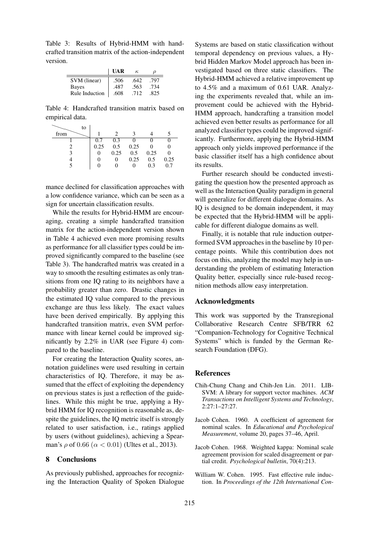Table 3: Results of Hybrid-HMM with handcrafted transition matrix of the action-independent version.

|                | UAR  | ĸ.   |      |
|----------------|------|------|------|
| SVM (linear)   | .506 | .642 | .797 |
| Bayes          | .487 | .563 | .734 |
| Rule Induction | .608 | .712 | -825 |

Table 4: Handcrafted transition matrix based on empirical data.

| to   |      |      |      |      |      |
|------|------|------|------|------|------|
| from |      |      |      |      |      |
|      | 0.7  | 0.3  |      |      |      |
|      | 0.25 | 0.5  | 0.25 |      |      |
|      |      | 0.25 | 0.5  | 0.25 |      |
|      | 0    |      | 0.25 | 0.5  | 0.25 |
|      |      |      |      | 0.3  | 07   |

mance declined for classification approaches with a low confidence variance, which can be seen as a sign for uncertain classification results.

While the results for Hybrid-HMM are encouraging, creating a simple handcrafted transition matrix for the action-independent version shown in Table 4 achieved even more promising results as performance for all classifier types could be improved significantly compared to the baseline (see Table 3). The handcrafted matrix was created in a way to smooth the resulting estimates as only transitions from one IQ rating to its neighbors have a probability greater than zero. Drastic changes in the estimated IQ value compared to the previous exchange are thus less likely. The exact values have been derived empirically. By applying this handcrafted transition matrix, even SVM performance with linear kernel could be improved significantly by 2.2% in UAR (see Figure 4) compared to the baseline.

For creating the Interaction Quality scores, annotation guidelines were used resulting in certain characteristics of IQ. Therefore, it may be assumed that the effect of exploiting the dependency on previous states is just a reflection of the guidelines. While this might be true, applying a Hybrid HMM for IQ recognition is reasonable as, despite the guidelines, the IQ metric itself is strongly related to user satisfaction, i.e., ratings applied by users (without guidelines), achieving a Spearman's  $\rho$  of 0.66 ( $\alpha$  < 0.01) (Ultes et al., 2013).

## 8 Conclusions

As previously published, approaches for recognizing the Interaction Quality of Spoken Dialogue

Systems are based on static classification without temporal dependency on previous values, a Hybrid Hidden Markov Model approach has been investigated based on three static classifiers. The Hybrid-HMM achieved a relative improvement up to 4.5% and a maximum of 0.61 UAR. Analyzing the experiments revealed that, while an improvement could be achieved with the Hybrid-HMM approach, handcrafting a transition model achieved even better results as performance for all analyzed classifier types could be improved significantly. Furthermore, applying the Hybrid-HMM approach only yields improved performance if the basic classifier itself has a high confidence about its results.

Further research should be conducted investigating the question how the presented approach as well as the Interaction Quality paradigm in general will generalize for different dialogue domains. As IQ is designed to be domain independent, it may be expected that the Hybrid-HMM will be applicable for different dialogue domains as well.

Finally, it is notable that rule induction outperformed SVM approaches in the baseline by 10 percentage points. While this contribution does not focus on this, analyzing the model may help in understanding the problem of estimating Interaction Quality better, especially since rule-based recognition methods allow easy interpretation.

### Acknowledgments

This work was supported by the Transregional Collaborative Research Centre SFB/TRR 62 "Companion-Technology for Cognitive Technical Systems" which is funded by the German Research Foundation (DFG).

#### **References**

- Chih-Chung Chang and Chih-Jen Lin. 2011. LIB-SVM: A library for support vector machines. *ACM Transactions on Intelligent Systems and Technology*, 2:27:1–27:27.
- Jacob Cohen. 1960. A coefficient of agreement for nominal scales. In *Educational and Psychological Measurement*, volume 20, pages 37–46, April.
- Jacob Cohen. 1968. Weighted kappa: Nominal scale agreement provision for scaled disagreement or partial credit. *Psychological bulletin*, 70(4):213.
- William W. Cohen. 1995. Fast effective rule induction. In *Proceedings of the 12th International Con-*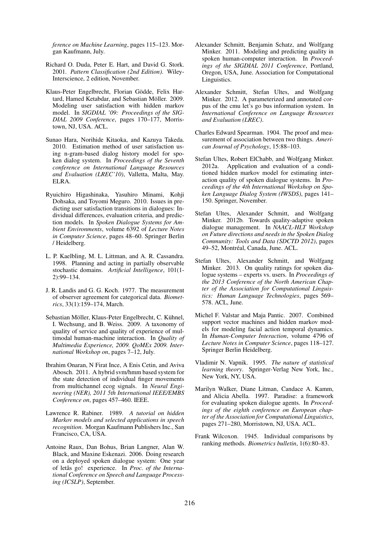*ference on Machine Learning*, pages 115–123. Morgan Kaufmann, July.

- Richard O. Duda, Peter E. Hart, and David G. Stork. 2001. *Pattern Classification (2nd Edition)*. Wiley-Interscience, 2 edition, November.
- Klaus-Peter Engelbrecht, Florian Gödde, Felix Hartard, Hamed Ketabdar, and Sebastian Möller. 2009. Modeling user satisfaction with hidden markov model. In *SIGDIAL '09: Proceedings of the SIG-DIAL 2009 Conference*, pages 170–177, Morristown, NJ, USA. ACL.
- Sunao Hara, Norihide Kitaoka, and Kazuya Takeda. 2010. Estimation method of user satisfaction using n-gram-based dialog history model for spoken dialog system. In *Proceedings of the Seventh conference on International Language Resources and Evaluation (LREC'10)*, Valletta, Malta, May. ELRA.
- Ryuichiro Higashinaka, Yasuhiro Minami, Kohji Dohsaka, and Toyomi Meguro. 2010. Issues in predicting user satisfaction transitions in dialogues: Individual differences, evaluation criteria, and prediction models. In *Spoken Dialogue Systems for Ambient Environments*, volume 6392 of *Lecture Notes in Computer Science*, pages 48–60. Springer Berlin / Heidelberg.
- L. P. Kaelbling, M. L. Littman, and A. R. Cassandra. 1998. Planning and acting in partially observable stochastic domains. *Artificial Intelligence*, 101(1- 2):99–134.
- J. R. Landis and G. G. Koch. 1977. The measurement of observer agreement for categorical data. *Biometrics*, 33(1):159–174, March.
- Sebastian Möller, Klaus-Peter Engelbrecht, C. Kühnel, I. Wechsung, and B. Weiss. 2009. A taxonomy of quality of service and quality of experience of multimodal human-machine interaction. In *Quality of Multimedia Experience, 2009. QoMEx 2009. International Workshop on*, pages 7–12, July.
- Ibrahim Onaran, N Firat Ince, A Enis Cetin, and Aviva Abosch. 2011. A hybrid svm/hmm based system for the state detection of individual finger movements from multichannel ecog signals. In *Neural Engineering (NER), 2011 5th International IEEE/EMBS Conference on*, pages 457–460. IEEE.
- Lawrence R. Rabiner. 1989. *A tutorial on hidden Markov models and selected applications in speech recognition*. Morgan Kaufmann Publishers Inc., San Francisco, CA, USA.
- Antoine Raux, Dan Bohus, Brian Langner, Alan W. Black, and Maxine Eskenazi. 2006. Doing research on a deployed spoken dialogue system: One year of letâs go! experience. In *Proc. of the International Conference on Speech and Language Processing (ICSLP)*, September.
- Alexander Schmitt, Benjamin Schatz, and Wolfgang Minker. 2011. Modeling and predicting quality in spoken human-computer interaction. In *Proceedings of the SIGDIAL 2011 Conference*, Portland, Oregon, USA, June. Association for Computational Linguistics.
- Alexander Schmitt, Stefan Ultes, and Wolfgang Minker. 2012. A parameterized and annotated corpus of the cmu let's go bus information system. In *International Conference on Language Resources and Evaluation (LREC)*.
- Charles Edward Spearman. 1904. The proof and measurement of association between two things. *American Journal of Psychology*, 15:88–103.
- Stefan Ultes, Robert ElChabb, and Wolfgang Minker. 2012a. Application and evaluation of a conditioned hidden markov model for estimating interaction quality of spoken dialogue systems. In *Proceedings of the 4th International Workshop on Spoken Language Dialog System (IWSDS)*, pages 141– 150. Springer, November.
- Stefan Ultes, Alexander Schmitt, and Wolfgang Minker. 2012b. Towards quality-adaptive spoken dialogue management. In *NAACL-HLT Workshop on Future directions and needs in the Spoken Dialog Community: Tools and Data (SDCTD 2012)*, pages 49-52, Montréal, Canada, June. ACL.
- Stefan Ultes, Alexander Schmitt, and Wolfgang Minker. 2013. On quality ratings for spoken dialogue systems – experts vs. users. In *Proceedings of the 2013 Conference of the North American Chapter of the Association for Computational Linguistics: Human Language Technologies*, pages 569– 578. ACL, June.
- Michel F. Valstar and Maja Pantic. 2007. Combined support vector machines and hidden markov models for modeling facial action temporal dynamics. In *Human-Computer Interaction*, volume 4796 of *Lecture Notes in Computer Science*, pages 118–127. Springer Berlin Heidelberg.
- Vladimir N. Vapnik. 1995. *The nature of statistical learning theory*. Springer-Verlag New York, Inc., New York, NY, USA.
- Marilyn Walker, Diane Litman, Candace A. Kamm, and Alicia Abella. 1997. Paradise: a framework for evaluating spoken dialogue agents. In *Proceedings of the eighth conference on European chapter of the Association for Computational Linguistics*, pages 271–280, Morristown, NJ, USA. ACL.
- Frank Wilcoxon. 1945. Individual comparisons by ranking methods. *Biometrics bulletin*, 1(6):80–83.